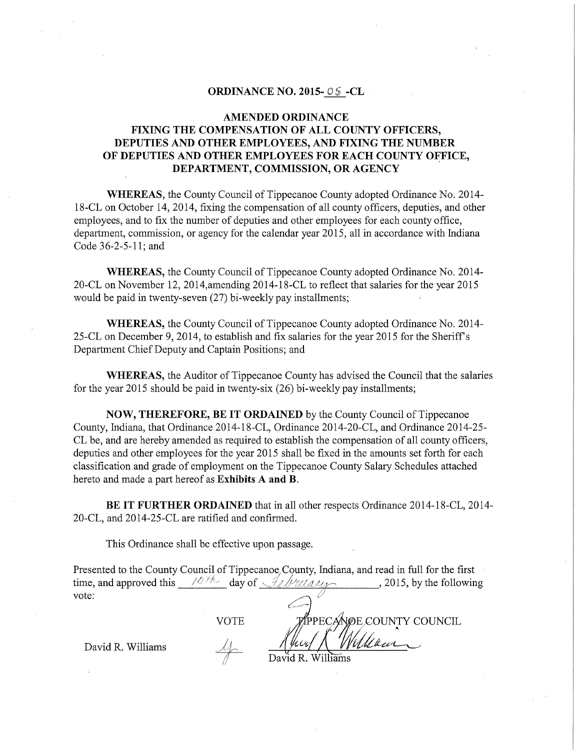#### **ORDINANCE NO. 2015- -CL**

#### **AMENDED ORDINANCE FIXING THE COMPENSATION OF ALL COUNTY OFFICERS, DEPUTIES AND OTHER EMPLOYEES, AND FIXING THE NUMBER**  OF DEPUTIES AND OTHER EMPLOYEES FOR EACH COUNTY OFFICE, **DEPARTMENT, COMMISSION, OR AGENCY**

**WHEREAS,** the County Council of Tippecanoe County adopted Ordinance No. 2014- 18-CL on October 14, 2014, fixing the compensation of all county officers, deputies, and other employees, and to fix the number of deputies and other employees for each county office, department, commission, or agency for the calendar year 2015, all in accordance with fudiana Code 36-2-5-11; and

**WHEREAS,** the County Council of Tippecanoe County adopted Ordinance No. 2014- 20-CL on November 12, 2014,amending 2014-18-CL to reflect that salaries for the year 2015 would be paid in twenty-seven (27) bi-weekly pay installments;

**WHEREAS,** the County Council of Tippecanoe County adopted Ordinance No. 2014- 25-CL on December 9, 2014, to establish and fix salaries for the year 2015 for the Sheriff's Department Chief Deputy and Captain Positions; and

**WHEREAS,** the Auditor of Tippecanoe County has advised the Council that the salaries for the year 2015 should be paid in twenty-six (26) bi-weekly pay installments;

**NOW, THEREFORE, BE IT ORDAINED** by the County Council of Tippecanoe County, fudiana, that Ordinance 2014-18-CL, Ordinance 2014-20-CL, and Ordinance 2014-25- CL be, and are hereby amended as required to establish the compensation of all county officers, deputies and other employees for the year 2015 shall be fixed in the amounts set forth for each classification and grade of employment on the Tippecanoe County Salary Schedules attached hereto and made a part hereof as **Exhibits A and B.** 

**BE IT FURTHER ORDAINED** that in all other respects Ordinance 2014-18-CL, 2014- 20-CL, and 2014-25-CL are ratified and confirmed.

This Ordinance shall be effective upon passage.

Presented to the County Council of Tippecanoe, County, fudiana, and read in full for the first time, and approved this  $\frac{10\%}{\sqrt{2}}$  day of  $\frac{1}{\sqrt{2}}$  / $\frac{1}{\sqrt{2}}$  . 2015, by the following vote:  $\qquad \qquad \qquad$ 

VOTE

PPECANOE COUNTY COUNCIL

David R. Williams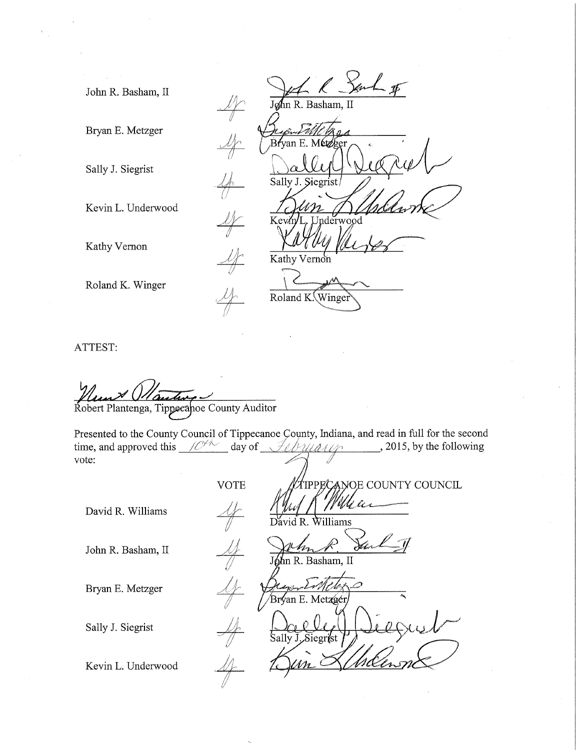John R. Basham, II

Bryan E. Metzger

Sally J. Siegrist

Kevin L. Underwood

Kathy Vernon

Roland K. Winger

l<br>- \$ John R. Basham, II Bfyan E Sally J. Jnderwood Kev⁄n Kathy Vernon Roland K. Winge

ATTEST:

Robert Plantenga, Tippecanoe County Auditor

Presented to the County Council of Tippecanoe County, Indiana, and read in full for the second time, and approved this  $\frac{10^{44}}{4}$  day of  $\frac{1}{4}$   $\frac{1}{4}$   $\frac{1}{4}$  , 2015, by the following vote:

David R. Williams

John R. Basham, II

Bryan E. Metzger

Sally J. Siegrist

Kevin L. Underwood

Williams Dĭ d R. John R. Basham, II Bryan E. Metzp

VOTE **WATER ANOE COUNTY COUNCIL**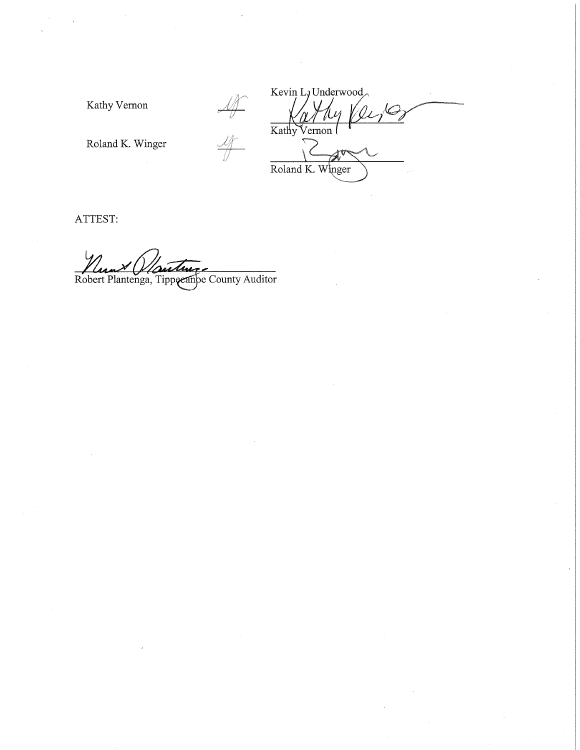Kathy Vernon

Kevin L<sub>J</sub> Underwood  $\frac{df}{dt}$  $\overrightarrow{\text{Kathy}}$ Vernon Roland K. Winger

Roland K. Winger

ATTEST:

Robert Plantenga, Tippeeanpe County Auditor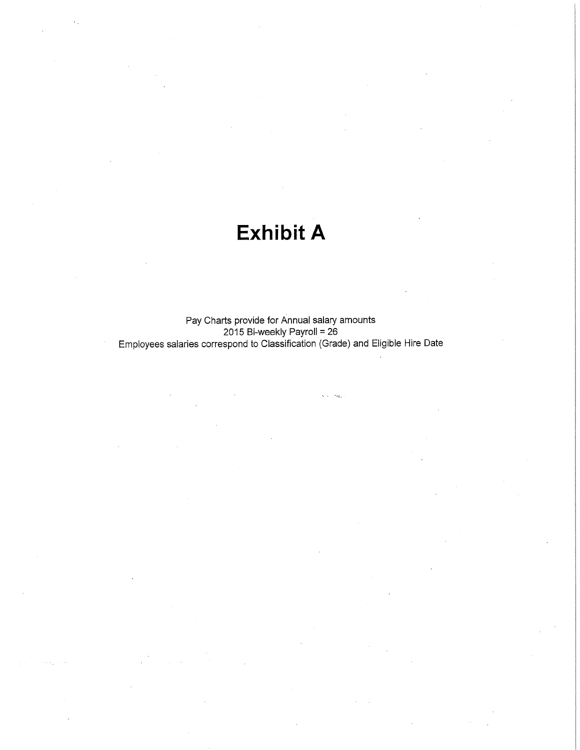## **Exhibit A**

Pay Charts provide for Annual salary amounts 2015 Bi-weekly Payroll= 26 Employees salaries correspond to Classification (Grade) and Eligible Hire Date

 $\epsilon_{\rm eff}$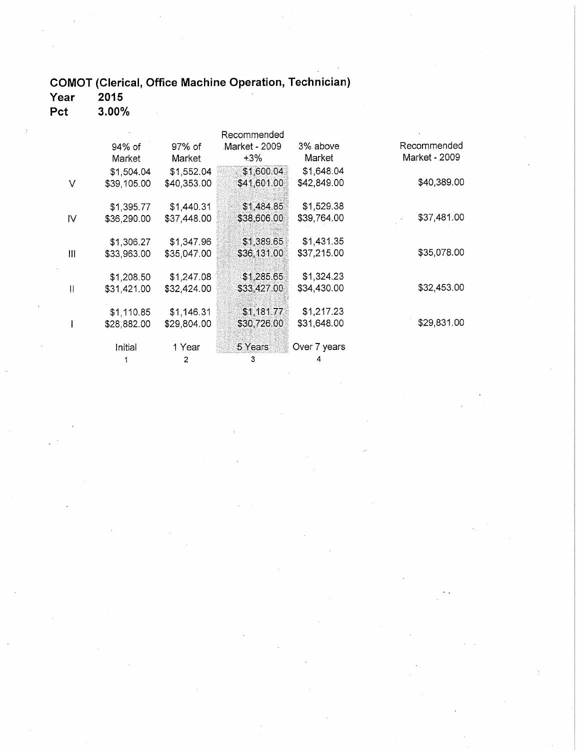# COMOT (Clerical, Office Machine Operation, Technician)<br>Year 2015

Pct  $3.00\%$ 

|              |             |             | Recommended   |              |               |
|--------------|-------------|-------------|---------------|--------------|---------------|
|              | 94% of      | 97% of      | Market - 2009 | 3% above     | Recommended   |
|              | Market      | Market      | +3%           | Market       | Market - 2009 |
|              | \$1,504.04  | \$1,552.04  | \$1,600.04    | \$1,648.04   |               |
| V            | \$39,105.00 | \$40,353.00 | \$41,601.00   | \$42,849.00  | \$40,389.00   |
|              | \$1,395.77  | \$1,440.31  | \$1,484.85    | \$1,529.38   |               |
| IV           | \$36,290.00 | \$37,448.00 | \$38,606.00   | \$39,764.00  | \$37,481.00   |
|              | \$1,306.27  | \$1,347.96  | \$1,389.65    | \$1,431.35   |               |
| Ш            | \$33,963.00 | \$35,047.00 | \$36,131.00   | \$37,215.00  | \$35,078.00   |
|              | \$1,208.50  | \$1,247.08  | \$1,285,65    | \$1,324.23   |               |
| $\mathbf{I}$ | \$31,421.00 | \$32,424.00 | \$33,427.00   | \$34,430.00  | \$32,453.00   |
|              | \$1,110.85  | \$1,146.31  | \$1,181.77    | \$1,217.23   |               |
|              | \$28,882.00 | \$29,804.00 | \$30,726.00   | \$31,648.00  | \$29,831.00   |
|              | Initial     | 1 Year      | 5 Years       | Over 7 years |               |
|              |             | 2           |               | Δ.           |               |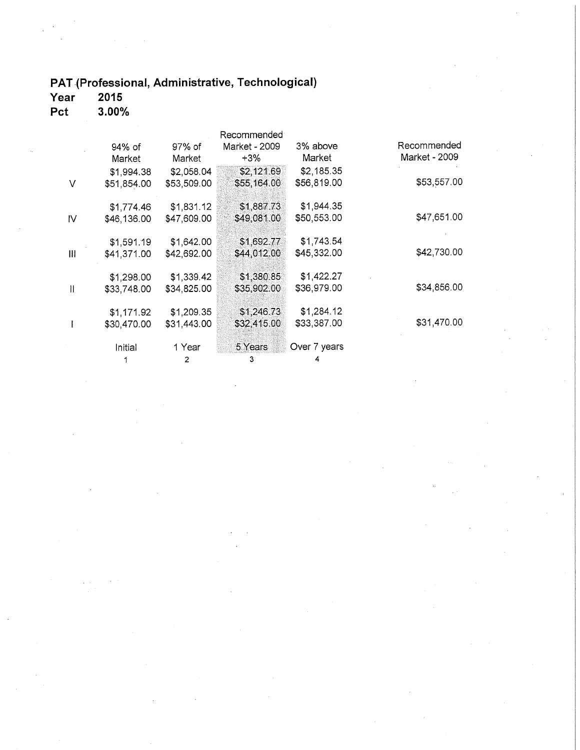## PAT (Professional, Administrative, Technological)

Year 2015 3.00% Pct

|               |             |             | Recommended   |              |               |
|---------------|-------------|-------------|---------------|--------------|---------------|
|               | 94% of      | 97% of      | Market - 2009 | 3% above     | Recommended   |
|               | Market      | Market      | +3%           | Market       | Market - 2009 |
|               | \$1,994.38  | \$2,058.04  | \$2,121.69    | \$2,185.35   |               |
| V             | \$51,854.00 | \$53,509.00 | \$55,164.00   | \$56,819.00  | \$53,557.00   |
|               | \$1,774.46  | \$1,831.12  | \$1,887.73    | \$1,944.35   |               |
| $\mathsf{N}$  | \$46,136.00 | \$47,609.00 | \$49,081.00   | \$50,553.00  | \$47,651.00   |
|               | \$1,591.19  | \$1,642.00  | \$1,692.77    | \$1,743.54   |               |
| Ш             | \$41,371.00 | \$42,692.00 | \$44,012.00   | \$45,332.00  | \$42,730.00   |
|               | \$1,298.00  | \$1,339.42  | \$1,380.85    | \$1,422.27   |               |
| $\mathbf{  }$ | \$33,748.00 | \$34,825.00 | \$35,902.00   | \$36,979.00  | \$34,856.00   |
|               | \$1,171.92  | \$1,209.35  | \$1,246.73    | \$1,284.12   |               |
|               | \$30,470.00 | \$31,443.00 | \$32,415.00   | \$33,387.00  | \$31,470.00   |
|               | Initial     | 1 Year      | 5 Years       | Over 7 years |               |
|               |             | 2           | 3             |              |               |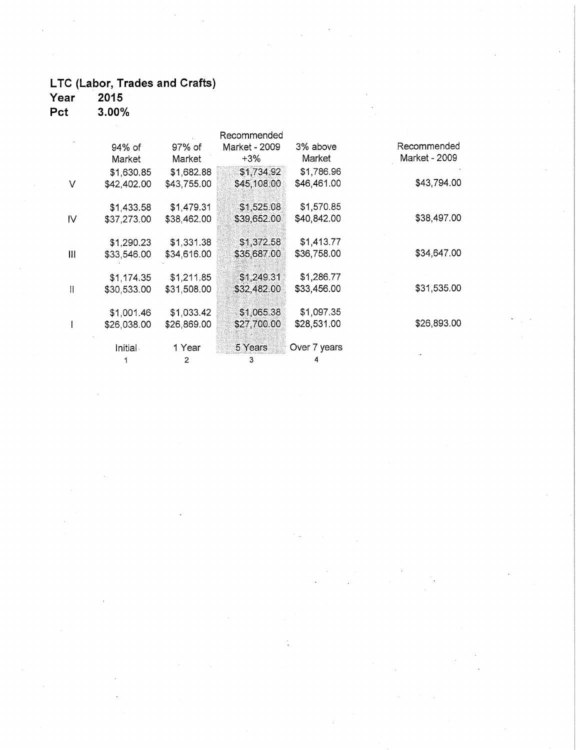# LTC (Labor, Trades and Crafts)<br>Year 2015

Pct 3.00%

|              |             |             | Recommended   |              |               |
|--------------|-------------|-------------|---------------|--------------|---------------|
|              | 94% of      | 97% of      | Market - 2009 | 3% above     | Recommended   |
|              | Market      | Market      | +3%           | Market       | Market - 2009 |
|              | \$1,630.85  | \$1,682.88  | \$1,734,92    | \$1,786.96   |               |
| V            | \$42,402.00 | \$43,755.00 | \$45,108,00   | \$46,461.00  | \$43,794.00   |
|              | \$1,433.58  | \$1,479.31  | \$1,525.08    | \$1,570.85   |               |
| IV           | \$37,273.00 | \$38,462.00 | \$39,652.00   | \$40,842.00  | \$38,497.00   |
|              | \$1,290.23  | \$1,331.38  | \$1,372.58    | \$1,413.77   |               |
| Ш            | \$33,546.00 | \$34,616.00 | \$35,687.00   | \$36,758.00  | \$34,647.00   |
|              | \$1,174.35  | \$1,211.85  | \$1,249.31    | \$1,286.77   |               |
| $\mathbf{I}$ | \$30,533.00 | \$31,508.00 | \$32,482.00   | \$33,456.00  | \$31,535.00   |
|              | \$1,001.46  | \$1,033.42  | \$1,065.38    | \$1,097.35   |               |
|              | \$26,038.00 | \$26,869.00 | \$27,700.00   | \$28,531.00  | \$26,893.00   |
|              | Initial     | 1 Year      | 5 Years       | Over 7 years |               |
|              |             | 2           | 3             |              |               |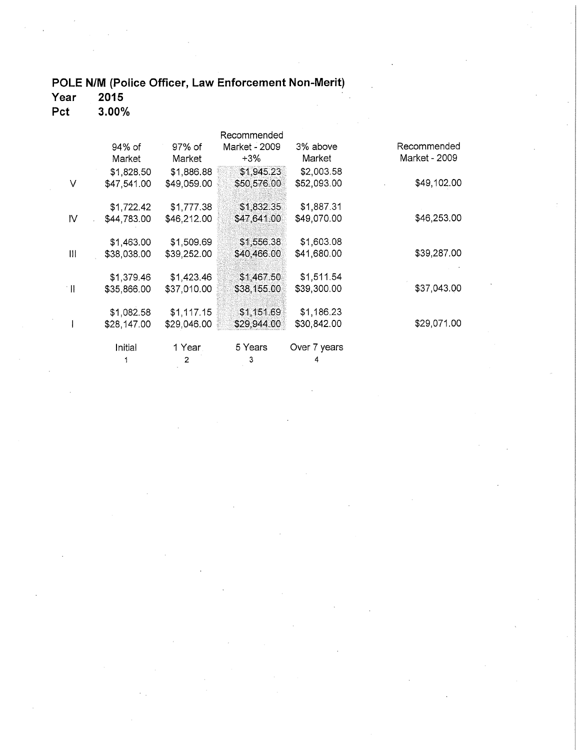### POLE N/M (Police Officer, Law Enforcement Non-Merit)

Year  $2015$ 

 $3.00\%$ Pct

|                           |             |             | Recommended   |              |               |
|---------------------------|-------------|-------------|---------------|--------------|---------------|
|                           | 94% of      | 97% of      | Market - 2009 | 3% above     | Recommended   |
|                           | Market      | Market      | +3%           | Market       | Market - 2009 |
|                           | \$1,828.50  | \$1,886.88  | \$1,945.23    | \$2,003.58   |               |
| V                         | \$47,541.00 | \$49,059.00 | \$50,576.00   | \$52,093.00  | \$49,102.00   |
|                           | \$1,722.42  | \$1,777.38  | \$1,832.35    | \$1,887.31   |               |
| IV                        | \$44,783.00 | \$46,212.00 | \$47,641.00   | \$49,070.00  | \$46,253.00   |
|                           | \$1,463.00  | \$1,509.69  | \$1,556.38    | \$1,603.08   |               |
| Ш                         | \$38,038.00 | \$39,252.00 | \$40,466.00   | \$41,680.00  | \$39,287.00   |
|                           | \$1,379.46  | \$1,423.46  | \$1,467.50    | \$1,511.54   |               |
| $\mathbb{H}^{\mathbb{R}}$ | \$35,866.00 | \$37,010.00 | \$38,155.00   | \$39,300.00  | \$37,043.00   |
|                           | \$1,082.58  | \$1,117.15  | \$1,151.69    | \$1,186.23   |               |
|                           | \$28,147.00 | \$29,046.00 | \$29,944.00   | \$30,842.00  | \$29,071.00   |
|                           | Initial     | 1 Year.     | 5 Years       | Over 7 years |               |
|                           |             | $2^{\circ}$ | 3             |              |               |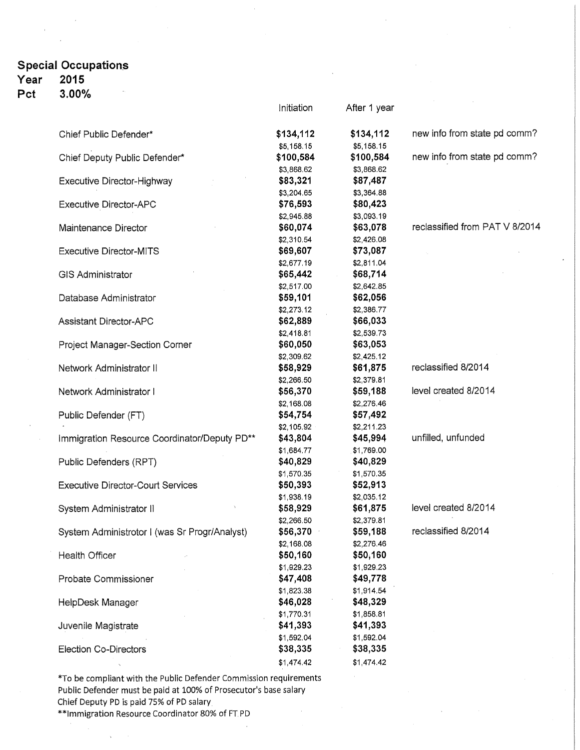#### **Special Occupation\_s 2015**

### **Year**

**Pct 3.00%** 

|                                               | Initiation | After 1 year |                                |
|-----------------------------------------------|------------|--------------|--------------------------------|
| Chief Public Defender*                        | \$134,112  | \$134,112    | new info from state pd comm?   |
|                                               | \$5,158.15 | \$5,158.15   |                                |
| Chief Deputy Public Defender*                 | \$100,584  | \$100,584    | new info from state pd comm?   |
|                                               | \$3,868.62 | \$3,868.62   |                                |
| Executive Director-Highway                    | \$83,321   | \$87,487     |                                |
|                                               | \$3,204.65 | \$3,364.88   |                                |
| <b>Executive Director-APC</b>                 | \$76,593   | \$80,423     |                                |
|                                               | \$2,945.88 | \$3,093.19   |                                |
| Maintenance Director                          | \$60,074   | \$63,078     | reclassified from PAT V 8/2014 |
|                                               | \$2,310.54 | \$2,426.08   |                                |
| <b>Executive Director-MITS</b>                | \$69,607   | \$73,087     |                                |
|                                               | \$2,677.19 | \$2,811.04   |                                |
| <b>GIS Administrator</b>                      | \$65,442   | \$68,714     |                                |
|                                               | \$2,517.00 | \$2,642.85   |                                |
| Database Administrator                        | \$59,101   | \$62,056     |                                |
|                                               | \$2,273.12 | \$2,386.77   |                                |
| <b>Assistant Director-APC</b>                 | \$62,889   | \$66,033     |                                |
|                                               | \$2,418.81 | \$2,539.73   |                                |
| Project Manager-Section Corner                | \$60,050   | \$63,053     |                                |
|                                               | \$2,309.62 | \$2,425.12   |                                |
| Network Administrator II                      | \$58,929   | \$61,875     | reclassified 8/2014            |
|                                               | \$2,266.50 | \$2,379.81   |                                |
| Network Administrator I                       | \$56,370   | \$59,188     | level created 8/2014           |
|                                               | \$2,168.08 | \$2,276.46   |                                |
| Public Defender (FT)                          | \$54,754   | \$57,492     |                                |
|                                               | \$2,105.92 | \$2,211.23   |                                |
| Immigration Resource Coordinator/Deputy PD**  | \$43,804   | \$45,994     | unfilled, unfunded             |
|                                               | \$1,684.77 | \$1,769.00   |                                |
| Public Defenders (RPT)                        | \$40,829   | \$40,829     |                                |
|                                               | \$1,570.35 | \$1,570.35   |                                |
| <b>Executive Director-Court Services</b>      | \$50,393   | \$52,913     |                                |
|                                               | \$1,938.19 | \$2,035.12   |                                |
| System Administrator II                       | \$58,929   | \$61,875     | level created 8/2014           |
|                                               | \$2,266.50 | \$2,379.81   |                                |
| System Administrotor I (was Sr Progr/Analyst) | \$56,370   | \$59,188     | reclassified 8/2014            |
|                                               | \$2,168.08 | \$2,276.46   |                                |
| Health Officer                                | \$50,160   | \$50,160     |                                |
|                                               | \$1,929.23 | \$1,929.23   |                                |
| Probate Commissioner                          | \$47,408   | \$49,778     |                                |
|                                               | \$1,823.38 | \$1,914.54   |                                |
| HelpDesk Manager                              | \$46,028   | \$48,329     |                                |
|                                               | \$1,770.31 | \$1,858.81   |                                |
| Juvenile Magistrate                           | \$41,393   | \$41,393     |                                |
|                                               | \$1,592.04 | \$1,592.04   |                                |
| <b>Election Co-Directors</b>                  | \$38,335   | \$38,335     |                                |
|                                               | \$1,474.42 | \$1,474.42   |                                |

\*To be compliant with the Public Defender Commission requirements Public Defender must be paid at 100% of Prosecutor's base salary Chief Deputy PD is paid 75% of PD salary

\*\*Immigration Resource Coordinator 80% of FT PD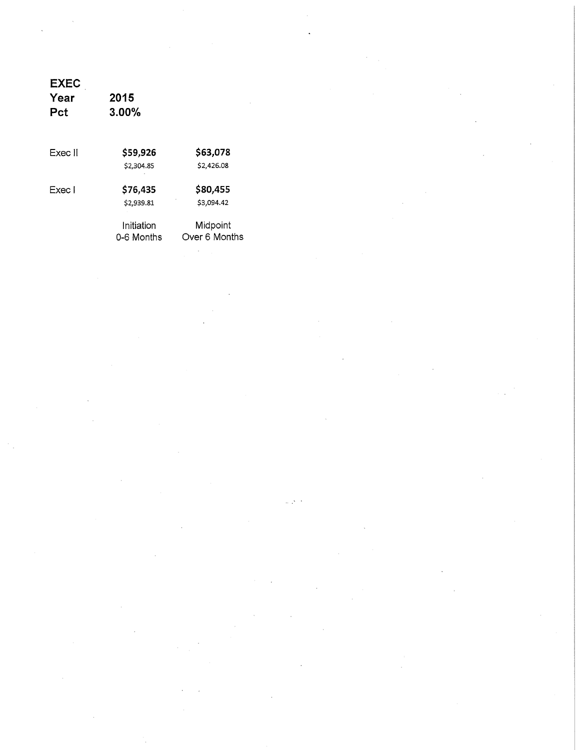| <b>EXEC</b><br>Year<br>Pct | 2015<br>$3.00\%$ |               |
|----------------------------|------------------|---------------|
| Exec II                    | \$59,926         | \$63,078      |
|                            | \$2,304.85       | \$2,426.08    |
| Exec I                     | \$76,435         | \$80,455      |
|                            | \$2,939.81       | \$3,094.42    |
|                            | Initiation       | Midpoint      |
|                            | 0-6 Months       | Over 6 Months |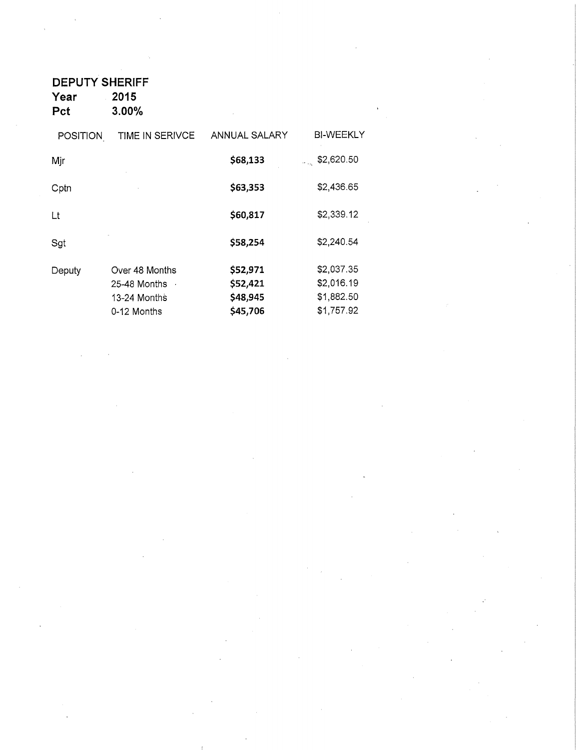**DEPUTY SHERIFF Year** 2015<br>Pct 3.00%

**Pct 3.00%** 

| <b>POSITION</b> | TIME IN SERIVCE                                               | ANNUAL SALARY                                | <b>BI-WEEKLY</b>                                     |
|-----------------|---------------------------------------------------------------|----------------------------------------------|------------------------------------------------------|
| Mjr             |                                                               | \$68,133                                     | \$2,620.50<br>a la                                   |
| Cptn            |                                                               | \$63,353                                     | \$2,436.65                                           |
| Lt              |                                                               | \$60,817                                     | \$2,339.12                                           |
| Sgt             |                                                               | \$58,254                                     | \$2,240.54                                           |
| Deputy          | Over 48 Months<br>25-48 Months<br>13-24 Months<br>0-12 Months | \$52,971<br>\$52,421<br>\$48,945<br>\$45,706 | \$2,037.35<br>\$2,016.19<br>\$1,882.50<br>\$1,757.92 |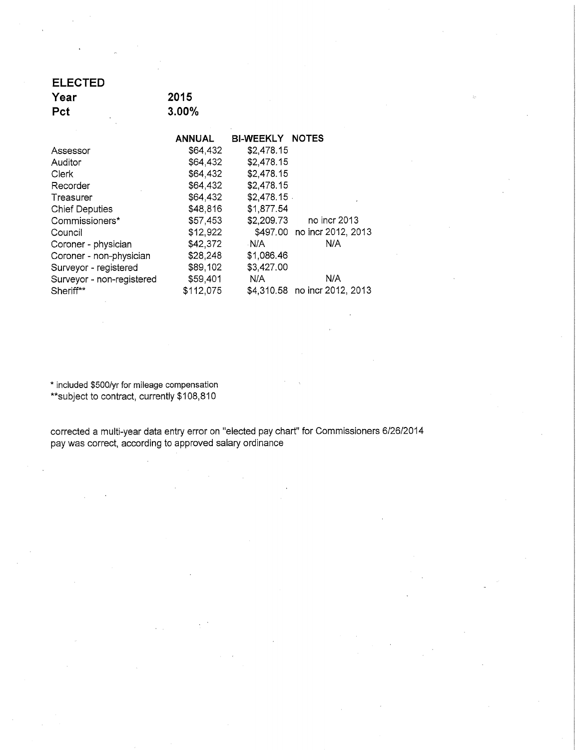| <b>ELECTED</b>  |       |  |
|-----------------|-------|--|
| Year            | 2015  |  |
| <b>Pct</b><br>٠ | 3.00% |  |
|                 |       |  |

|                           | ANNUAL    | <b>BI-WEEKLY NOTES</b> |                               |
|---------------------------|-----------|------------------------|-------------------------------|
| Assessor                  | \$64,432  | \$2,478.15             |                               |
| Auditor                   | \$64,432  | \$2,478.15             |                               |
| Clerk                     | \$64,432  | \$2,478.15             |                               |
| Recorder                  | \$64,432  | \$2,478.15             |                               |
| Treasurer                 | \$64,432  | $$2,478.15$ .          |                               |
| <b>Chief Deputies</b>     | \$48,816  | \$1,877.54             |                               |
| Commissioners*            | \$57,453  | \$2,209.73             | no incr 2013                  |
| Council                   | \$12,922  |                        | \$497.00 no incr 2012, 2013   |
| Coroner - physician       | \$42,372  | N/A                    | N/A                           |
| Coroner - non-physician   | \$28,248  | \$1,086.46             |                               |
| Surveyor - registered     | \$89,102  | \$3,427.00             |                               |
| Surveyor - non-registered | \$59,401  | N/A                    | N/A                           |
| Sheriff**                 | \$112,075 |                        | \$4,310.58 no incr 2012, 2013 |
|                           |           |                        |                               |

\* included \$500/yr for mileage compensation \*\*subject to contract, currently \$108,810

corrected a multi-year data entry error on "elected pay chart" for Commissioners 612612014 pay was correct, according to approved salary ordinance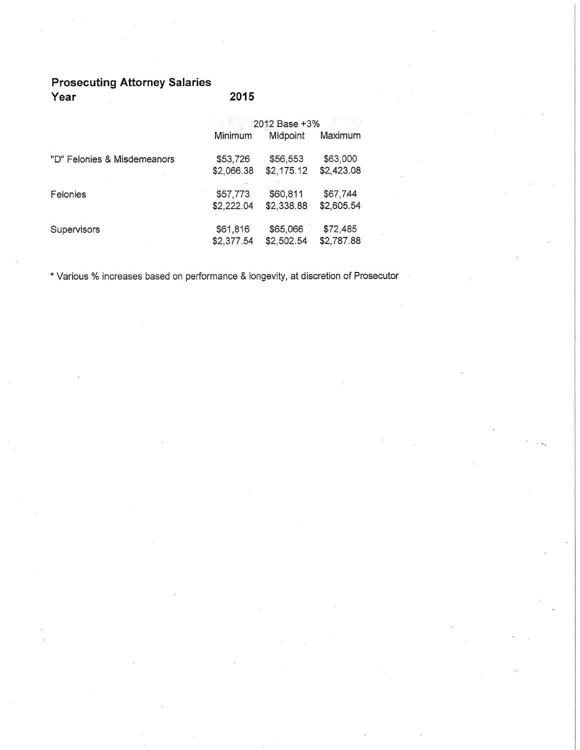#### **Prosecuting Attorney Salaries Year 2015**

|                             | $2012$ Base +3%        |                        |                        |  |  |
|-----------------------------|------------------------|------------------------|------------------------|--|--|
|                             | Minimum                | Midpoint               | Maximum                |  |  |
| "D" Felonies & Misdemeanors | \$53,726<br>\$2,066.38 | \$56,553<br>\$2,175.12 | \$63,000<br>\$2,423.08 |  |  |
| Felonies                    | \$57,773<br>\$2,222.04 | \$60,811<br>\$2,338.88 | \$67,744<br>\$2,605.54 |  |  |
| Supervisors                 | \$61,816<br>\$2,377.54 | \$65,066<br>\$2,502.54 | \$72,485<br>\$2,787.88 |  |  |

\*Various % increases based on performance & longevity, at discretion of Prosecutor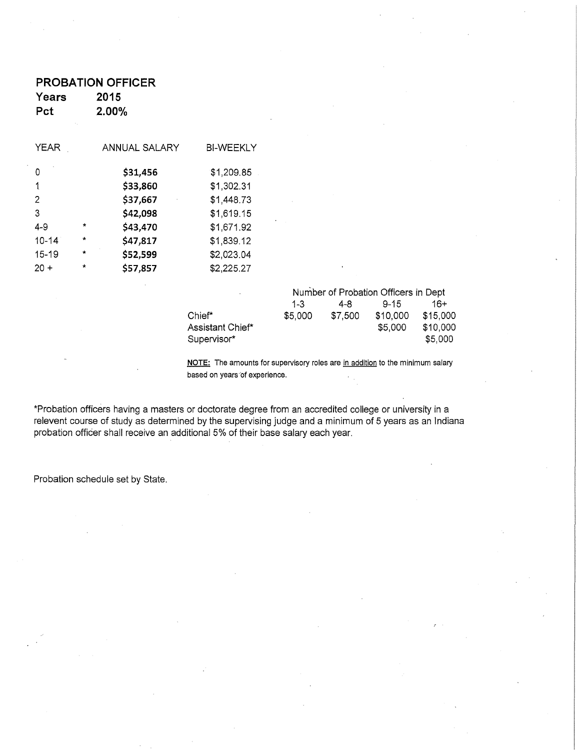|             | <b>PROBATION OFFICER</b> |               |                  |  |  |  |
|-------------|--------------------------|---------------|------------------|--|--|--|
| Years       |                          | 2015          |                  |  |  |  |
| Pct         |                          | 2.00%         |                  |  |  |  |
| <b>YEAR</b> |                          | ANNUAL SALARY | <b>BI-WEEKLY</b> |  |  |  |
| 0           |                          | \$31,456      | \$1,209.85       |  |  |  |
| 1           |                          | \$33,860      | \$1,302.31       |  |  |  |
| 2           |                          | \$37,667      | \$1,448.73       |  |  |  |
| 3           |                          | \$42,098      | \$1,619.15       |  |  |  |
| 4-9         | $\star$                  | \$43,470      | \$1,671.92       |  |  |  |
| $10 - 14$   | $\star$                  | \$47,817      | \$1,839.12       |  |  |  |
| $15 - 19$   | $\star$                  | \$52,599      | \$2,023.04       |  |  |  |
| $20 +$      | $\star$                  | \$57,857      | \$2,225.27       |  |  |  |
|             |                          |               |                  |  |  |  |

| ×.               | Number of Probation Officers in Dept |         |          |          |  |
|------------------|--------------------------------------|---------|----------|----------|--|
|                  | $1 - 3$                              | 4-8     | $9 - 15$ | 16+      |  |
| Chief*           | \$5,000                              | \$7,500 | \$10,000 | \$15,000 |  |
| Assistant Chief* |                                      |         | \$5.000  | \$10,000 |  |
| Supervisor*      |                                      |         |          | \$5,000  |  |

**NOTE:** The amounts for supervisory roles are in addition to the minimum salary based on years of experience.

\*Probation officers having a masters or doctorate degree from an accredited college or university in a relevent course of study as determined by the supervising judge and a minimum of 5 years as an Indiana probation officer shall receive an additional 5% of their base salary each year.

Probation schedule set by State.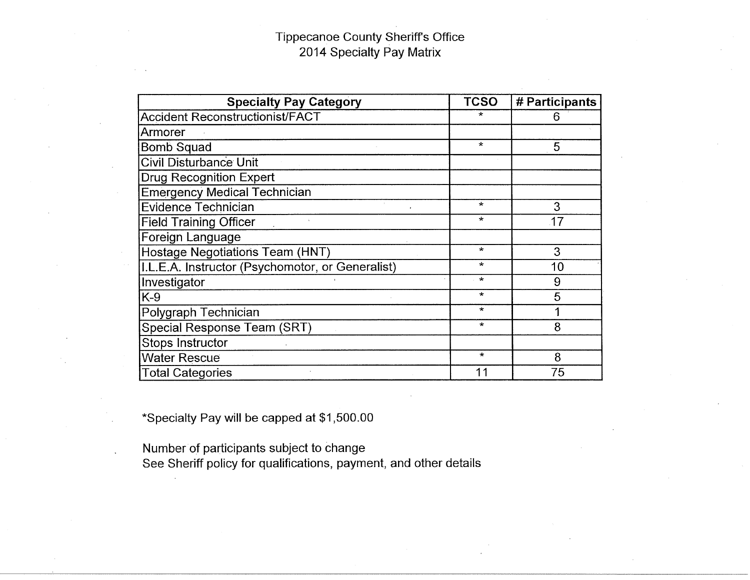### Tippecanoe County Sheriff's Office 2014 Specialty Pay Matrix

| <b>Specialty Pay Category</b>                    | <b>TCSO</b> | # Participants |  |
|--------------------------------------------------|-------------|----------------|--|
| <b>Accident Reconstructionist/FACT</b>           |             | 6              |  |
| Armorer                                          |             |                |  |
| Bomb Squad                                       | $\star$     | 5              |  |
| <b>Civil Disturbance Unit</b>                    |             |                |  |
| <b>Drug Recognition Expert</b>                   |             |                |  |
| <b>Emergency Medical Technician</b>              |             |                |  |
| <b>Evidence Technician</b>                       | $\star$     | 3              |  |
| <b>Field Training Officer</b>                    | $\star$     | 17             |  |
| Foreign Language                                 |             |                |  |
| Hostage Negotiations Team (HNT)                  | $\star$     | 3              |  |
| I.L.E.A. Instructor (Psychomotor, or Generalist) | $\star$     | 10             |  |
| Investigator                                     | $\star$     | 9              |  |
| $K-9$                                            | $\star$     | 5              |  |
| Polygraph Technician                             | $\star$     |                |  |
| Special Response Team (SRT)                      | $\star$     | 8              |  |
| Stops Instructor                                 |             |                |  |
| <b>Water Rescue</b>                              | $\star$     | 8              |  |
| <b>Total Categories</b>                          |             | 75             |  |

\*Specialty Pay will be capped at \$1,500.00

Number of participants subject to change See Sheriff policy for qualifications, payment, and other details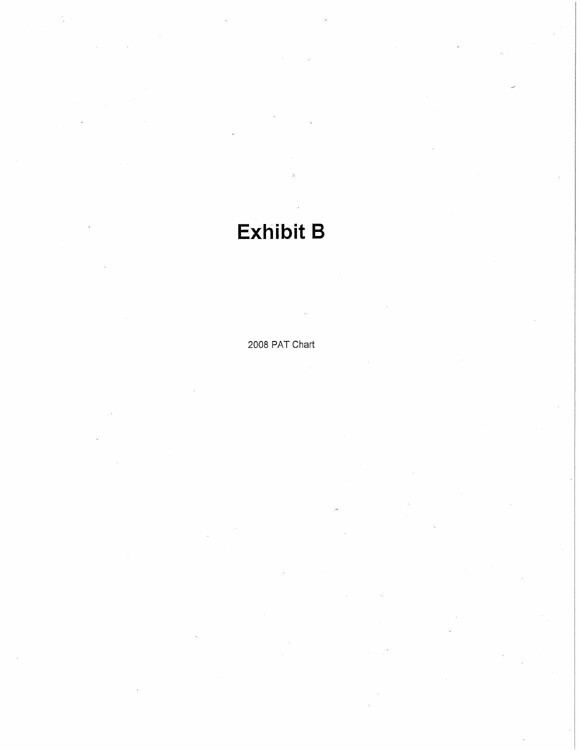# **Exhibit B**

2008 PAT Chart